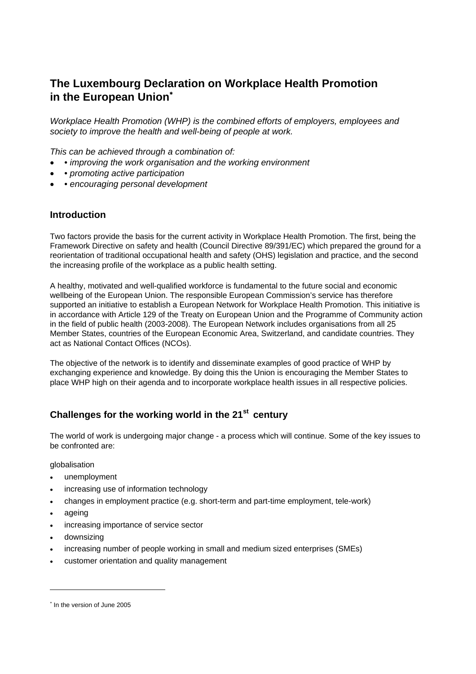# **The Luxembourg Declaration on Workplace Health Promotion in the European Union**<sup>∗</sup>

*Workplace Health Promotion (WHP) is the combined efforts of employers, employees and society to improve the health and well-being of people at work.*

*This can be achieved through a combination of:*

- • *improving the work organisation and the working environment*
- • *promoting active participation*
- • *encouraging personal development*

#### **Introduction**

Two factors provide the basis for the current activity in Workplace Health Promotion. The first, being the Framework Directive on safety and health (Council Directive 89/391/EC) which prepared the ground for a reorientation of traditional occupational health and safety (OHS) legislation and practice, and the second the increasing profile of the workplace as a public health setting.

A healthy, motivated and well-qualified workforce is fundamental to the future social and economic wellbeing of the European Union. The responsible European Commission's service has therefore supported an initiative to establish a European Network for Workplace Health Promotion. This initiative is in accordance with Article 129 of the Treaty on European Union and the Programme of Community action in the field of public health (2003-2008). The European Network includes organisations from all 25 Member States, countries of the European Economic Area, Switzerland, and candidate countries. They act as National Contact Offices (NCOs).

The objective of the network is to identify and disseminate examples of good practice of WHP by exchanging experience and knowledge. By doing this the Union is encouraging the Member States to place WHP high on their agenda and to incorporate workplace health issues in all respective policies.

# **Challenges for the working world in the 21st century**

The world of work is undergoing major change - a process which will continue. Some of the key issues to be confronted are:

globalisation

- unemployment
- increasing use of information technology
- changes in employment practice (e.g. short-term and part-time employment, tele-work)
- ageing

l

- increasing importance of service sector
- downsizing
- increasing number of people working in small and medium sized enterprises (SMEs)
- customer orientation and quality management

<sup>∗</sup> In the version of June 2005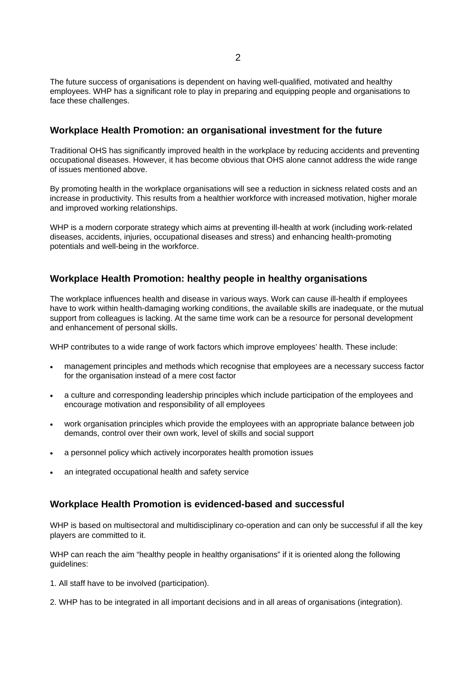The future success of organisations is dependent on having well-qualified, motivated and healthy employees. WHP has a significant role to play in preparing and equipping people and organisations to face these challenges.

#### **Workplace Health Promotion: an organisational investment for the future**

Traditional OHS has significantly improved health in the workplace by reducing accidents and preventing occupational diseases. However, it has become obvious that OHS alone cannot address the wide range of issues mentioned above.

By promoting health in the workplace organisations will see a reduction in sickness related costs and an increase in productivity. This results from a healthier workforce with increased motivation, higher morale and improved working relationships.

WHP is a modern corporate strategy which aims at preventing ill-health at work (including work-related diseases, accidents, injuries, occupational diseases and stress) and enhancing health-promoting potentials and well-being in the workforce.

### **Workplace Health Promotion: healthy people in healthy organisations**

The workplace influences health and disease in various ways. Work can cause ill-health if employees have to work within health-damaging working conditions, the available skills are inadequate, or the mutual support from colleagues is lacking. At the same time work can be a resource for personal development and enhancement of personal skills.

WHP contributes to a wide range of work factors which improve employees' health. These include:

- management principles and methods which recognise that employees are a necessary success factor for the organisation instead of a mere cost factor
- a culture and corresponding leadership principles which include participation of the employees and encourage motivation and responsibility of all employees
- work organisation principles which provide the employees with an appropriate balance between job demands, control over their own work, level of skills and social support
- a personnel policy which actively incorporates health promotion issues
- an integrated occupational health and safety service

#### **Workplace Health Promotion is evidenced-based and successful**

WHP is based on multisectoral and multidisciplinary co-operation and can only be successful if all the key players are committed to it.

WHP can reach the aim "healthy people in healthy organisations" if it is oriented along the following guidelines:

- 1. All staff have to be involved (participation).
- 2. WHP has to be integrated in all important decisions and in all areas of organisations (integration).